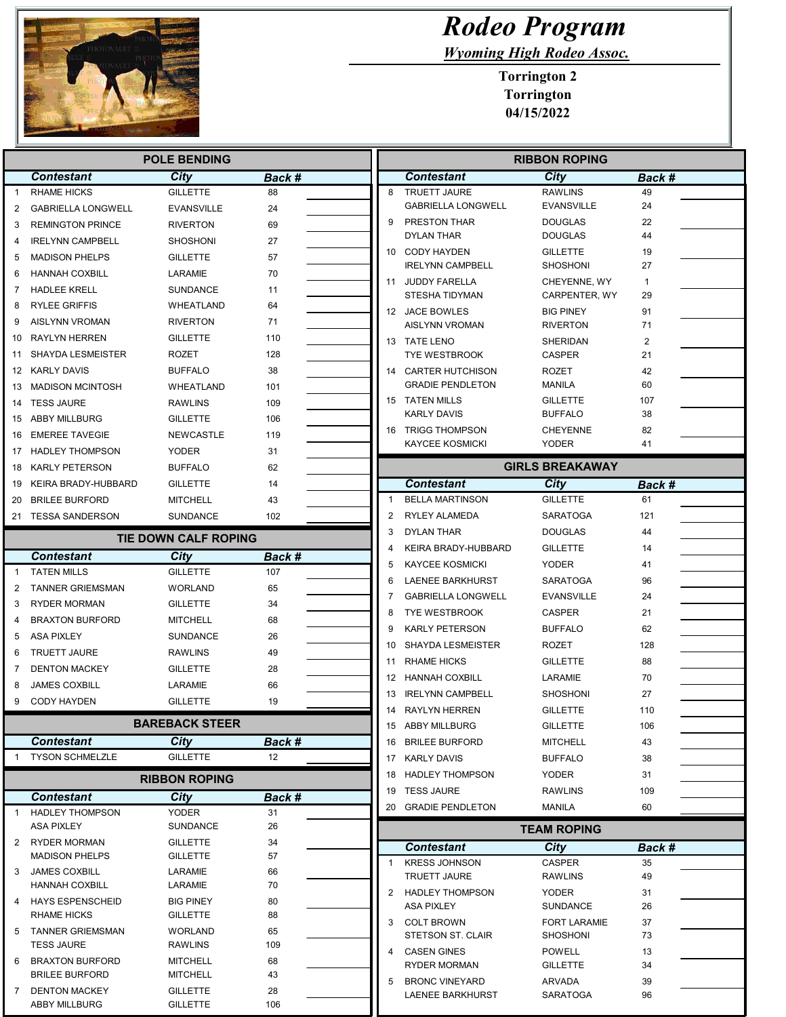

I

## Rodeo Program

Wyoming High Rodeo Assoc.

Torrington 2 Torrington 04/15/2022

| <b>POLE BENDING</b> |                                                 |                             |               |  | <b>RIBBON ROPING</b> |                                           |                               |              |
|---------------------|-------------------------------------------------|-----------------------------|---------------|--|----------------------|-------------------------------------------|-------------------------------|--------------|
|                     | <b>Contestant</b>                               | City                        | Back #        |  |                      | <b>Contestant</b>                         | City                          | Back #       |
| $\mathbf{1}$        | <b>RHAME HICKS</b>                              | <b>GILLETTE</b>             | 88            |  | 8                    | <b>TRUETT JAURE</b>                       | <b>RAWLINS</b>                | 49           |
| 2                   | <b>GABRIELLA LONGWELL</b>                       | <b>EVANSVILLE</b>           | 24            |  |                      | <b>GABRIELLA LONGWELL</b>                 | <b>EVANSVILLE</b>             | 24           |
| 3                   | <b>REMINGTON PRINCE</b>                         | <b>RIVERTON</b>             | 69            |  | 9                    | PRESTON THAR                              | <b>DOUGLAS</b>                | 22           |
| 4                   | <b>IRELYNN CAMPBELL</b>                         | <b>SHOSHONI</b>             | 27            |  |                      | <b>DYLAN THAR</b>                         | <b>DOUGLAS</b>                | 44           |
| 5                   | <b>MADISON PHELPS</b>                           | <b>GILLETTE</b>             | 57            |  |                      | 10 CODY HAYDEN                            | <b>GILLETTE</b>               | 19           |
| 6                   | <b>HANNAH COXBILL</b>                           | LARAMIE                     | 70            |  |                      | <b>IRELYNN CAMPBELL</b>                   | <b>SHOSHONI</b>               | 27           |
| 7                   | <b>HADLEE KRELL</b>                             | <b>SUNDANCE</b>             | 11            |  |                      | 11 JUDDY FARELLA<br><b>STESHA TIDYMAN</b> | CHEYENNE, WY<br>CARPENTER, WY | 1<br>29      |
| 8                   | <b>RYLEE GRIFFIS</b>                            | WHEATLAND                   | 64            |  |                      | 12 JACE BOWLES                            | <b>BIG PINEY</b>              | 91           |
| 9                   | <b>AISLYNN VROMAN</b>                           | <b>RIVERTON</b>             | 71            |  |                      | AISLYNN VROMAN                            | <b>RIVERTON</b>               | 71           |
| 10                  | <b>RAYLYN HERREN</b>                            | <b>GILLETTE</b>             | 110           |  |                      | 13 TATE LENO                              | <b>SHERIDAN</b>               | 2            |
| 11                  | SHAYDA LESMEISTER                               | ROZET                       | 128           |  |                      | <b>TYE WESTBROOK</b>                      | CASPER                        | 21           |
|                     | 12 KARLY DAVIS                                  | <b>BUFFALO</b>              | 38            |  |                      | 14 CARTER HUTCHISON                       | <b>ROZET</b>                  | 42           |
| 13                  | <b>MADISON MCINTOSH</b>                         | WHEATLAND                   | 101           |  |                      | <b>GRADIE PENDLETON</b>                   | <b>MANILA</b>                 | 60           |
| 14                  | <b>TESS JAURE</b>                               | <b>RAWLINS</b>              | 109           |  |                      | 15 TATEN MILLS                            | <b>GILLETTE</b>               | 107          |
| 15                  | ABBY MILLBURG                                   | GILLETTE                    | 106           |  |                      | <b>KARLY DAVIS</b>                        | <b>BUFFALO</b>                | 38           |
| 16                  | <b>EMEREE TAVEGIE</b>                           | <b>NEWCASTLE</b>            | 119           |  |                      | 16 TRIGG THOMPSON                         | <b>CHEYENNE</b>               | 82           |
| 17                  | <b>HADLEY THOMPSON</b>                          | <b>YODER</b>                | 31            |  |                      | <b>KAYCEE KOSMICKI</b>                    | <b>YODER</b>                  | 41           |
| 18                  | <b>KARLY PETERSON</b>                           | <b>BUFFALO</b>              | 62            |  |                      |                                           | <b>GIRLS BREAKAWAY</b>        |              |
| 19                  | KEIRA BRADY-HUBBARD                             | <b>GILLETTE</b>             | 14            |  |                      | <b>Contestant</b>                         | <b>City</b>                   | Back #       |
|                     | 20 BRILEE BURFORD                               | <b>MITCHELL</b>             | 43            |  | $\overline{1}$       | <b>BELLA MARTINSON</b>                    | <b>GILLETTE</b>               | 61           |
|                     | 21 TESSA SANDERSON                              | <b>SUNDANCE</b>             | 102           |  | $\overline{2}$       | RYLEY ALAMEDA                             | <b>SARATOGA</b>               | 121          |
|                     |                                                 | <b>TIE DOWN CALF ROPING</b> |               |  | 3                    | <b>DYLAN THAR</b>                         | <b>DOUGLAS</b>                | 44           |
|                     | <b>Contestant</b>                               | City                        |               |  | 4                    | KEIRA BRADY-HUBBARD                       | <b>GILLETTE</b>               | 14           |
| $\mathbf{1}$        | <b>TATEN MILLS</b>                              | <b>GILLETTE</b>             | Back #<br>107 |  | 5                    | <b>KAYCEE KOSMICKI</b>                    | <b>YODER</b>                  | 41           |
| 2                   | <b>TANNER GRIEMSMAN</b>                         | <b>WORLAND</b>              | 65            |  | 6                    | <b>LAENEE BARKHURST</b>                   | <b>SARATOGA</b>               | 96           |
| 3                   | <b>RYDER MORMAN</b>                             | GILLETTE                    | 34            |  | 7                    | <b>GABRIELLA LONGWELL</b>                 | <b>EVANSVILLE</b>             | 24           |
| 4                   | <b>BRAXTON BURFORD</b>                          | MITCHELL                    | 68            |  | 8                    | <b>TYE WESTBROOK</b>                      | CASPER                        | 21           |
| 5                   | <b>ASA PIXLEY</b>                               | SUNDANCE                    | 26            |  | 9                    | <b>KARLY PETERSON</b>                     | <b>BUFFALO</b>                | 62           |
| 6                   | <b>TRUETT JAURE</b>                             | <b>RAWLINS</b>              | 49            |  | 10                   | <b>SHAYDA LESMEISTER</b>                  | <b>ROZET</b>                  | 128          |
| 7                   |                                                 | <b>GILLETTE</b>             |               |  | 11                   | <b>RHAME HICKS</b>                        | <b>GILLETTE</b>               | 88           |
| 8                   | <b>DENTON MACKEY</b><br><b>JAMES COXBILL</b>    | LARAMIE                     | 28<br>66      |  | 12                   | <b>HANNAH COXBILL</b>                     | LARAMIE                       | 70           |
|                     |                                                 |                             |               |  | 13                   | <b>IRELYNN CAMPBELL</b>                   | <b>SHOSHONI</b>               | 27           |
| 9                   | CODY HAYDEN                                     | <b>GILLETTE</b>             | 19            |  | 14                   | <b>RAYLYN HERREN</b>                      | <b>GILLETTE</b>               | 110          |
|                     |                                                 | <b>BAREBACK STEER</b>       |               |  |                      | 15 ABBY MILLBURG                          | <b>GILLETTE</b>               | 106          |
|                     | <b>Contestant</b>                               | <b>City</b>                 | Back #        |  |                      | 16 BRILEE BURFORD                         | <b>MITCHELL</b>               | 43           |
|                     | <b>TYSON SCHMELZLE</b>                          | <b>GILLETTE</b>             | 12            |  |                      | 17 KARLY DAVIS                            | <b>BUFFALO</b>                | 38           |
|                     |                                                 | <b>RIBBON ROPING</b>        |               |  |                      | 18 HADLEY THOMPSON                        | <b>YODER</b>                  | 31           |
|                     | <b>Contestant</b>                               | City                        | Back #        |  |                      | 19 TESS JAURE                             | <b>RAWLINS</b>                | 109          |
|                     | <b>HADLEY THOMPSON</b>                          | <b>YODER</b>                | 31            |  |                      | 20 GRADIE PENDLETON                       | MANILA                        | 60           |
|                     | ASA PIXLEY                                      | SUNDANCE                    | 26            |  |                      |                                           | <b>TEAM ROPING</b>            |              |
|                     | 2 RYDER MORMAN                                  | <b>GILLETTE</b>             | 34            |  |                      | <b>Contestant</b>                         | City                          |              |
|                     | <b>MADISON PHELPS</b>                           | <b>GILLETTE</b>             | 57            |  | $\mathbf{1}$         | <b>KRESS JOHNSON</b>                      | <b>CASPER</b>                 | Back #<br>35 |
|                     | 3 JAMES COXBILL                                 | LARAMIE                     | 66            |  |                      | <b>TRUETT JAURE</b>                       | RAWLINS                       | 49           |
|                     | <b>HANNAH COXBILL</b>                           | LARAMIE                     | 70            |  | 2                    | HADLEY THOMPSON                           | <b>YODER</b>                  | 31           |
| 4                   | <b>HAYS ESPENSCHEID</b>                         | <b>BIG PINEY</b>            | 80            |  |                      | ASA PIXLEY                                | <b>SUNDANCE</b>               | 26           |
|                     | <b>RHAME HICKS</b>                              | <b>GILLETTE</b>             | 88            |  | 3                    | <b>COLT BROWN</b>                         | <b>FORT LARAMIE</b>           | 37           |
| 5                   | TANNER GRIEMSMAN                                | WORLAND                     | 65            |  |                      | STETSON ST. CLAIR                         | SHOSHONI                      | 73           |
|                     | <b>TESS JAURE</b>                               | RAWLINS                     | 109           |  |                      | CASEN GINES                               | <b>POWELL</b>                 | 13           |
| 6                   | <b>BRAXTON BURFORD</b><br><b>BRILEE BURFORD</b> | MITCHELL<br><b>MITCHELL</b> | 68<br>43      |  |                      | <b>RYDER MORMAN</b>                       | <b>GILLETTE</b>               | 34           |
| 7                   | <b>DENTON MACKEY</b>                            | <b>GILLETTE</b>             | 28            |  | 5                    | <b>BRONC VINEYARD</b>                     | ARVADA                        | 39           |
|                     | ABBY MILLBURG                                   | GILLETTE                    | 106           |  |                      | LAENEE BARKHURST                          | SARATOGA                      | 96           |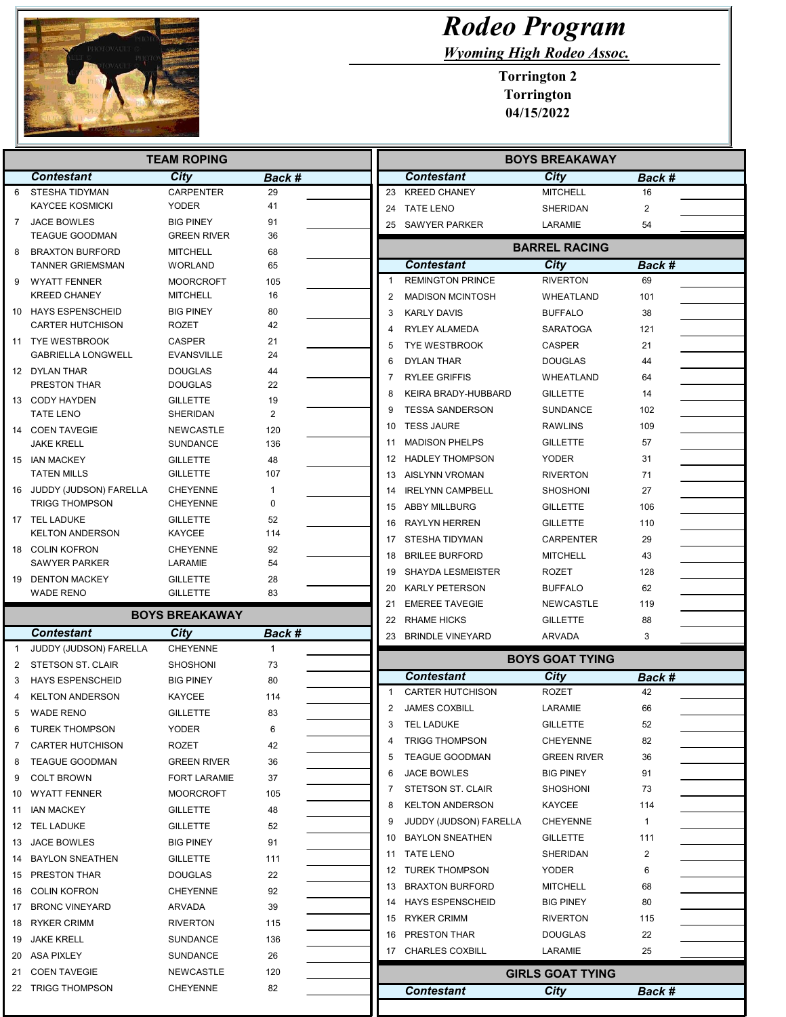

## Rodeo Program

Wyoming High Rodeo Assoc.

Torrington 2 Torrington 04/15/2022

|    | <b>TEAM ROPING</b>                             |                                    |               |                | <b>BOYS BREAKAWAY</b>    |                         |        |  |
|----|------------------------------------------------|------------------------------------|---------------|----------------|--------------------------|-------------------------|--------|--|
|    | <b>Contestant</b>                              | City                               | Back #        |                | <b>Contestant</b>        | City                    | Back # |  |
| 6  | STESHA TIDYMAN                                 | <b>CARPENTER</b>                   | 29            |                | 23 KREED CHANEY          | <b>MITCHELL</b>         | 16     |  |
|    | <b>KAYCEE KOSMICKI</b>                         | <b>YODER</b>                       | 41            |                | 24 TATE LENO             | SHERIDAN                | 2      |  |
| 7  | <b>JACE BOWLES</b>                             | <b>BIG PINEY</b>                   | 91            |                | 25 SAWYER PARKER         | LARAMIE                 | 54     |  |
|    | <b>TEAGUE GOODMAN</b>                          | <b>GREEN RIVER</b>                 | 36            |                |                          | <b>BARREL RACING</b>    |        |  |
| 8  | <b>BRAXTON BURFORD</b>                         | <b>MITCHELL</b>                    | 68            |                |                          |                         |        |  |
|    | <b>TANNER GRIEMSMAN</b>                        | <b>WORLAND</b>                     | 65            |                | <b>Contestant</b>        | City                    | Back # |  |
| 9  | <b>WYATT FENNER</b>                            | <b>MOORCROFT</b>                   | 105           | 1              | <b>REMINGTON PRINCE</b>  | <b>RIVERTON</b>         | 69     |  |
|    | <b>KREED CHANEY</b>                            | <b>MITCHELL</b>                    | 16            | $\overline{2}$ | <b>MADISON MCINTOSH</b>  | WHEATLAND               | 101    |  |
|    | 10 HAYS ESPENSCHEID<br><b>CARTER HUTCHISON</b> | <b>BIG PINEY</b><br><b>ROZET</b>   | 80<br>42      | 3              | <b>KARLY DAVIS</b>       | <b>BUFFALO</b>          | 38     |  |
|    |                                                |                                    |               |                | RYLEY ALAMEDA            | <b>SARATOGA</b>         | 121    |  |
|    | 11 TYE WESTBROOK<br><b>GABRIELLA LONGWELL</b>  | <b>CASPER</b><br><b>EVANSVILLE</b> | 21<br>24      | 5              | <b>TYE WESTBROOK</b>     | <b>CASPER</b>           | 21     |  |
|    | 12 DYLAN THAR                                  | <b>DOUGLAS</b>                     | 44            | 6              | <b>DYLAN THAR</b>        | DOUGLAS                 | 44     |  |
|    | <b>PRESTON THAR</b>                            | DOUGLAS                            | 22            | 7              | <b>RYLEE GRIFFIS</b>     | WHEATLAND               | 64     |  |
|    | 13 CODY HAYDEN                                 | <b>GILLETTE</b>                    | 19            |                | KEIRA BRADY-HUBBARD      | <b>GILLETTE</b>         | 14     |  |
|    | <b>TATE LENO</b>                               | <b>SHERIDAN</b>                    | 2             | 9              | <b>TESSA SANDERSON</b>   | <b>SUNDANCE</b>         | 102    |  |
|    | 14 COEN TAVEGIE                                | <b>NEWCASTLE</b>                   | 120           | 10             | <b>TESS JAURE</b>        | <b>RAWLINS</b>          | 109    |  |
|    | JAKE KRELL                                     | <b>SUNDANCE</b>                    | 136           | 11             | <b>MADISON PHELPS</b>    | <b>GILLETTE</b>         | 57     |  |
|    | 15 IAN MACKEY                                  | <b>GILLETTE</b>                    | 48            |                | 12 HADLEY THOMPSON       | <b>YODER</b>            | 31     |  |
|    | <b>TATEN MILLS</b>                             | <b>GILLETTE</b>                    | 107           |                | 13 AISLYNN VROMAN        | <b>RIVERTON</b>         | 71     |  |
|    | 16 JUDDY (JUDSON) FARELLA                      | <b>CHEYENNE</b>                    | 1             | 14             | <b>IRELYNN CAMPBELL</b>  | SHOSHONI                | 27     |  |
|    | <b>TRIGG THOMPSON</b>                          | <b>CHEYENNE</b>                    | 0             |                | 15 ABBY MILLBURG         | <b>GILLETTE</b>         | 106    |  |
|    | 17 TEL LADUKE                                  | <b>GILLETTE</b>                    | 52            | 16             | <b>RAYLYN HERREN</b>     | <b>GILLETTE</b>         | 110    |  |
|    | <b>KELTON ANDERSON</b>                         | KAYCEE                             | 114           |                | 17 STESHA TIDYMAN        | <b>CARPENTER</b>        | 29     |  |
|    | 18 COLIN KOFRON                                | <b>CHEYENNE</b>                    | 92            | 18             | <b>BRILEE BURFORD</b>    | <b>MITCHELL</b>         | 43     |  |
|    | <b>SAWYER PARKER</b>                           | LARAMIE                            | 54            | 19             | <b>SHAYDA LESMEISTER</b> | ROZET                   | 128    |  |
|    | 19 DENTON MACKEY                               | <b>GILLETTE</b>                    | 28            | 20             | <b>KARLY PETERSON</b>    | <b>BUFFALO</b>          | 62     |  |
|    | <b>WADE RENO</b>                               | <b>GILLETTE</b>                    | 83            | 21             | <b>EMEREE TAVEGIE</b>    | <b>NEWCASTLE</b>        | 119    |  |
|    |                                                | <b>BOYS BREAKAWAY</b>              |               |                | <b>RHAME HICKS</b>       |                         | 88     |  |
|    | <b>Contestant</b>                              | City                               | <b>Back #</b> | 22             |                          | <b>GILLETTE</b>         |        |  |
| -1 | JUDDY (JUDSON) FARELLA                         | <b>CHEYENNE</b>                    | $\mathbf{1}$  |                | 23 BRINDLE VINEYARD      | ARVADA                  | 3      |  |
| 2  | <b>STETSON ST. CLAIR</b>                       | <b>SHOSHONI</b>                    | 73            |                |                          | <b>BOYS GOAT TYING</b>  |        |  |
| 3  | <b>HAYS ESPENSCHEID</b>                        | <b>BIG PINEY</b>                   | 80            |                | <b>Contestant</b>        | City                    | Back # |  |
|    | <b>KELTON ANDERSON</b>                         | KAYCEE                             | 114           | 1              | <b>CARTER HUTCHISON</b>  | <b>ROZET</b>            | 42     |  |
| 5  | <b>WADE RENO</b>                               | <b>GILLETTE</b>                    | 83            | 2              | <b>JAMES COXBILL</b>     | LARAMIE                 | 66     |  |
| 6  | <b>TUREK THOMPSON</b>                          | YODER                              | 6             |                | <b>TEL LADUKE</b>        | <b>GILLETTE</b>         | 52     |  |
| 7  | <b>CARTER HUTCHISON</b>                        | ROZET                              | 42            | 4              | <b>TRIGG THOMPSON</b>    | <b>CHEYENNE</b>         | 82     |  |
| 8  | <b>TEAGUE GOODMAN</b>                          | <b>GREEN RIVER</b>                 | 36            | 5              | <b>TEAGUE GOODMAN</b>    | GREEN RIVER             | 36     |  |
|    | <b>COLT BROWN</b>                              | <b>FORT LARAMIE</b>                | 37            | 6              | JACE BOWLES              | <b>BIG PINEY</b>        | 91     |  |
| 9  |                                                |                                    |               |                | <b>STETSON ST. CLAIR</b> | SHOSHONI                | 73     |  |
| 10 | <b>WYATT FENNER</b>                            | <b>MOORCROFT</b>                   | 105           |                | <b>KELTON ANDERSON</b>   | <b>KAYCEE</b>           | 114    |  |
| 11 | IAN MACKEY                                     | <b>GILLETTE</b>                    | 48            |                | JUDDY (JUDSON) FARELLA   | <b>CHEYENNE</b>         | 1      |  |
|    | 12 TEL LADUKE                                  | <b>GILLETTE</b>                    | 52            | 10             | <b>BAYLON SNEATHEN</b>   | <b>GILLETTE</b>         | 111    |  |
| 13 | JACE BOWLES                                    | <b>BIG PINEY</b>                   | 91            | 11             | <b>TATE LENO</b>         | SHERIDAN                | 2      |  |
| 14 | <b>BAYLON SNEATHEN</b>                         | <b>GILLETTE</b>                    | 111           |                | 12 TUREK THOMPSON        | <b>YODER</b>            | 6      |  |
|    | 15 PRESTON THAR                                | DOUGLAS                            | 22            |                |                          |                         |        |  |
|    | 16 COLIN KOFRON                                | <b>CHEYENNE</b>                    | 92            | 13             | <b>BRAXTON BURFORD</b>   | <b>MITCHELL</b>         | 68     |  |
|    | 17 BRONC VINEYARD                              | ARVADA                             | 39            | 14             | <b>HAYS ESPENSCHEID</b>  | BIG PINEY               | 80     |  |
|    | 18 RYKER CRIMM                                 | <b>RIVERTON</b>                    | 115           | 15             | RYKER CRIMM              | <b>RIVERTON</b>         | 115    |  |
| 19 | <b>JAKE KRELL</b>                              | <b>SUNDANCE</b>                    | 136           | 16             | PRESTON THAR             | <b>DOUGLAS</b>          | 22     |  |
|    | 20 ASA PIXLEY                                  | <b>SUNDANCE</b>                    | 26            |                | 17 CHARLES COXBILL       | LARAMIE                 | 25     |  |
|    | <b>COEN TAVEGIE</b>                            | NEWCASTLE                          | 120           |                |                          | <b>GIRLS GOAT TYING</b> |        |  |
| 21 |                                                |                                    |               |                |                          |                         |        |  |
| 22 | TRIGG THOMPSON                                 | CHEYENNE                           | 82            |                | <b>Contestant</b>        | City                    | Back # |  |